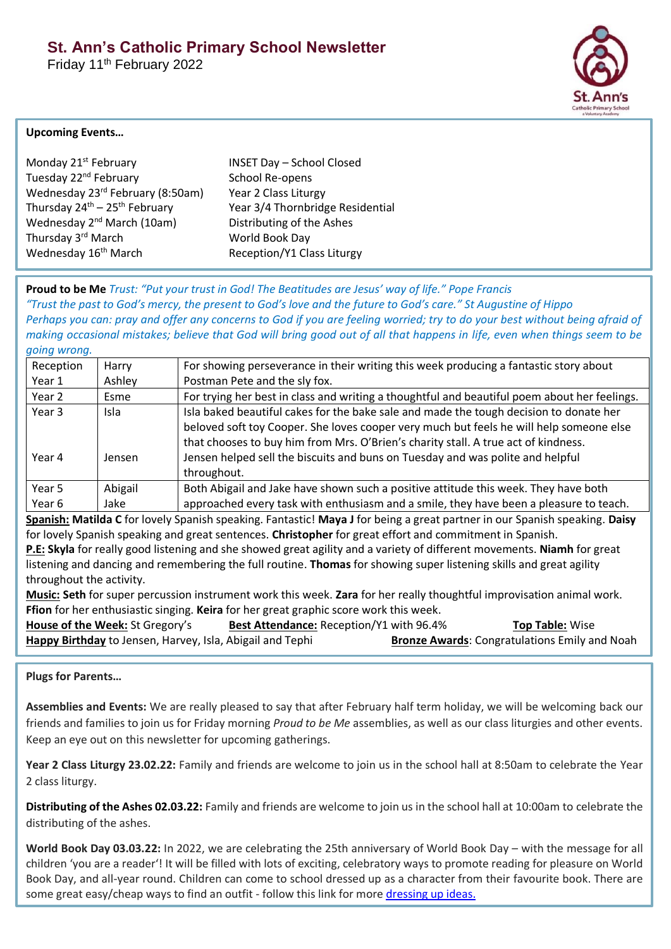# **St. Ann's Catholic Primary School Newsletter**

Friday 11<sup>th</sup> February 2022



## **Upcoming Events…**

| Monday 21 <sup>st</sup> February                      | <b>INSET Day - School Closed</b> |
|-------------------------------------------------------|----------------------------------|
| Tuesday 22 <sup>nd</sup> February                     | School Re-opens                  |
| Wednesday 23rd February (8:50am)                      | Year 2 Class Liturgy             |
| Thursday 24 <sup>th</sup> - 25 <sup>th</sup> February | Year 3/4 Thornbridge Residential |
| Wednesday 2 <sup>nd</sup> March (10am)                | Distributing of the Ashes        |
| Thursday 3rd March                                    | World Book Day                   |
| Wednesday 16 <sup>th</sup> March                      | Reception/Y1 Class Liturgy       |

## **Proud to be Me** *Trust: "Put your trust in God! The Beatitudes are Jesus' way of life." Pope Francis "Trust the past to God's mercy, the present to God's love and the future to God's care." St Augustine of Hippo Perhaps you can: pray and offer any concerns to God if you are feeling worried; try to do your best without being afraid of making occasional mistakes; believe that God will bring good out of all that happens in life, even when things seem to be going wrong.*

| Reception | Harry   | For showing perseverance in their writing this week producing a fantastic story about        |
|-----------|---------|----------------------------------------------------------------------------------------------|
| Year 1    | Ashley  | Postman Pete and the sly fox.                                                                |
| Year 2    | Esme    | For trying her best in class and writing a thoughtful and beautiful poem about her feelings. |
| Year 3    | Isla    | Isla baked beautiful cakes for the bake sale and made the tough decision to donate her       |
|           |         | beloved soft toy Cooper. She loves cooper very much but feels he will help someone else      |
|           |         | that chooses to buy him from Mrs. O'Brien's charity stall. A true act of kindness.           |
| Year 4    | Jensen  | Jensen helped sell the biscuits and buns on Tuesday and was polite and helpful               |
|           |         | throughout.                                                                                  |
| Year 5    | Abigail | Both Abigail and Jake have shown such a positive attitude this week. They have both          |
| Year 6    | Jake    | approached every task with enthusiasm and a smile, they have been a pleasure to teach.       |

**Spanish: Matilda C** for lovely Spanish speaking. Fantastic! **Maya J** for being a great partner in our Spanish speaking. **Daisy**  for lovely Spanish speaking and great sentences. **Christopher** for great effort and commitment in Spanish.

**P.E: Skyla** for really good listening and she showed great agility and a variety of different movements. **Niamh** for great listening and dancing and remembering the full routine. **Thomas** for showing super listening skills and great agility throughout the activity.

**Music: Seth** for super percussion instrument work this week. **Zara** for her really thoughtful improvisation animal work. **Ffion** for her enthusiastic singing. **Keira** for her great graphic score work this week.

| House of the Week: St Gregory's                           | <b>Best Attendance: Reception/Y1 with 96.4%</b> | <b>Top Table: Wise</b>                               |
|-----------------------------------------------------------|-------------------------------------------------|------------------------------------------------------|
| Happy Birthday to Jensen, Harvey, Isla, Abigail and Tephi |                                                 | <b>Bronze Awards:</b> Congratulations Emily and Noah |

## **Plugs for Parents…**

**Assemblies and Events:** We are really pleased to say that after February half term holiday, we will be welcoming back our friends and families to join us for Friday morning *Proud to be Me* assemblies, as well as our class liturgies and other events. Keep an eye out on this newsletter for upcoming gatherings.

**Year 2 Class Liturgy 23.02.22:** Family and friends are welcome to join us in the school hall at 8:50am to celebrate the Year 2 class liturgy.

**Distributing of the Ashes 02.03.22:** Family and friends are welcome to join us in the school hall at 10:00am to celebrate the distributing of the ashes.

**World Book Day 03.03.22:** In 2022, we are celebrating the 25th anniversary of World Book Day – with the message for all children 'you are a reader'! It will be filled with lots of exciting, celebratory ways to promote reading for pleasure on World Book Day, and all-year round. Children can come to school dressed up as a character from their favourite book. There are some great easy/cheap ways to find an outfit - follow this link for mor[e dressing up ideas.](https://www.worldbookday.com/dressing-up-ideas/)